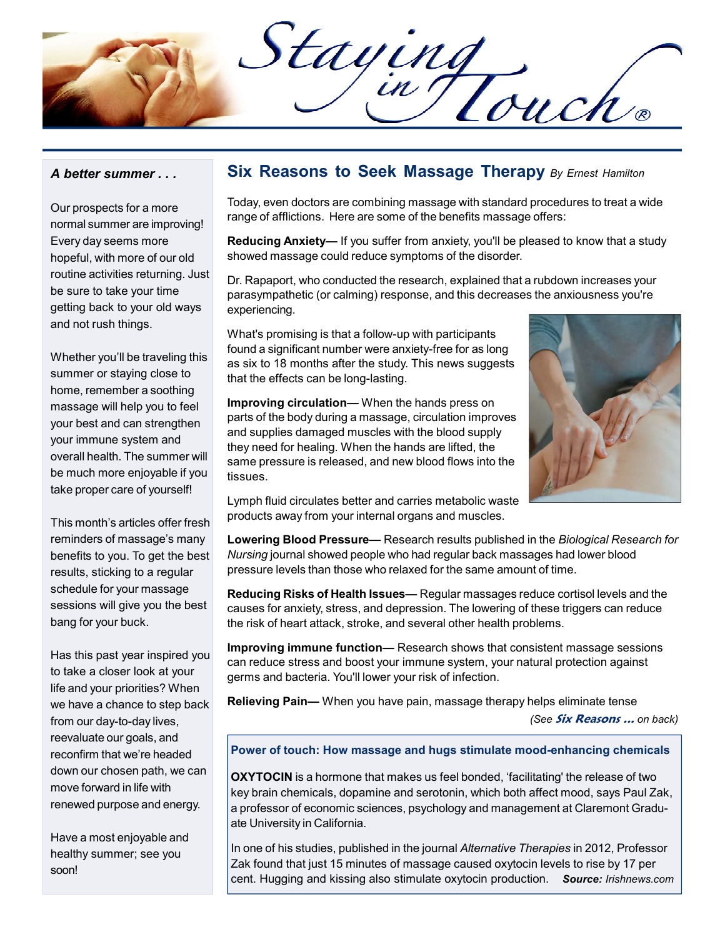Staying<br>Cartouch

#### A better summer . . .

Our prospects for a more normal summer are improving! Every day seems more hopeful, with more of our old routine activities returning. Just be sure to take your time getting back to your old ways and not rush things.

Whether you'll be traveling this summer or staying close to home, remember a soothing massage will help you to feel your best and can strengthen your immune system and overall health. The summer will be much more enjoyable if you take proper care of yourself!

This month's articles offer fresh reminders of massage's many benefits to you. To get the best results, sticking to a regular schedule for your massage sessions will give you the best bang for your buck.

Has this past year inspired you to take a closer look at your life and your priorities? When we have a chance to step back from our day-to-day lives, reevaluate our goals, and reconfirm that we're headed down our chosen path, we can move forward in life with renewed purpose and energy.

Have a most enjoyable and healthy summer; see you soon!

## Six Reasons to Seek Massage Therapy By Ernest Hamilton

Today, even doctors are combining massage with standard procedures to treat a wide range of afflictions. Here are some of the benefits massage offers:

Reducing Anxiety— If you suffer from anxiety, you'll be pleased to know that a study showed massage could reduce symptoms of the disorder.

Dr. Rapaport, who conducted the research, explained that a rubdown increases your parasympathetic (or calming) response, and this decreases the anxiousness you're experiencing.

What's promising is that a follow-up with participants found a significant number were anxiety-free for as long as six to 18 months after the study. This news suggests that the effects can be long-lasting.

Improving circulation— When the hands press on parts of the body during a massage, circulation improves and supplies damaged muscles with the blood supply they need for healing. When the hands are lifted, the same pressure is released, and new blood flows into the tissues.



Lymph fluid circulates better and carries metabolic waste products away from your internal organs and muscles.

Lowering Blood Pressure— Research results published in the Biological Research for Nursing journal showed people who had regular back massages had lower blood pressure levels than those who relaxed for the same amount of time.

Reducing Risks of Health Issues— Regular massages reduce cortisol levels and the causes for anxiety, stress, and depression. The lowering of these triggers can reduce the risk of heart attack, stroke, and several other health problems.

Improving immune function— Research shows that consistent massage sessions can reduce stress and boost your immune system, your natural protection against germs and bacteria. You'll lower your risk of infection.

Relieving Pain- When you have pain, massage therapy helps eliminate tense

(See Six Reasons ... on back)

#### Power of touch: How massage and hugs stimulate mood-enhancing chemicals

OXYTOCIN is a hormone that makes us feel bonded, 'facilitating' the release of two key brain chemicals, dopamine and serotonin, which both affect mood, says Paul Zak, a professor of economic sciences, psychology and management at Claremont Graduate University in California.

In one of his studies, published in the journal Alternative Therapies in 2012, Professor Zak found that just 15 minutes of massage caused oxytocin levels to rise by 17 per cent. Hugging and kissing also stimulate oxytocin production. Source: Irishnews.com